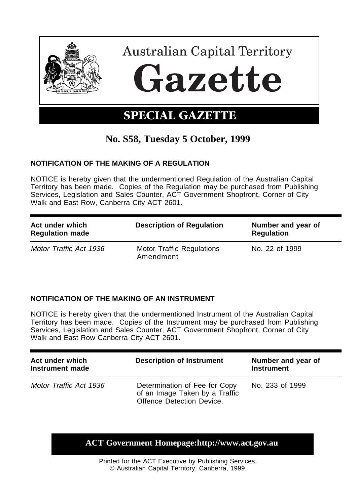

# **No. S58, Tuesday 5 October, 1999**

## **NOTIFICATION OF THE MAKING OF A REGULATION**

NOTICE is hereby given that the undermentioned Regulation of the Australian Capital Territory has been made. Copies of the Regulation may be purchased from Publishing Services, Legislation and Sales Counter, ACT Government Shopfront, Corner of City Walk and East Row, Canberra City ACT 2601.

| Act under which<br><b>Regulation made</b> | <b>Description of Regulation</b>       | Number and year of<br><b>Regulation</b> |
|-------------------------------------------|----------------------------------------|-----------------------------------------|
| Motor Traffic Act 1936                    | Motor Traffic Regulations<br>Amendment | No. 22 of 1999                          |

## **NOTIFICATION OF THE MAKING OF AN INSTRUMENT**

NOTICE is hereby given that the undermentioned Instrument of the Australian Capital Territory has been made. Copies of the Instrument may be purchased from Publishing Services, Legislation and Sales Counter, ACT Government Shopfront, Corner of City Walk and East Row Canberra City ACT 2601.

| Act under which<br>Instrument made | <b>Description of Instrument</b>                                                             | Number and year of<br><b>Instrument</b> |
|------------------------------------|----------------------------------------------------------------------------------------------|-----------------------------------------|
| Motor Traffic Act 1936             | Determination of Fee for Copy<br>of an Image Taken by a Traffic<br>Offence Detection Device. | No. 233 of 1999                         |

# **ACT Government Homepage:http://www.act.gov.au**

Printed for the ACT Executive by Publishing Services. © Australian Capital Territory, Canberra, 1999.